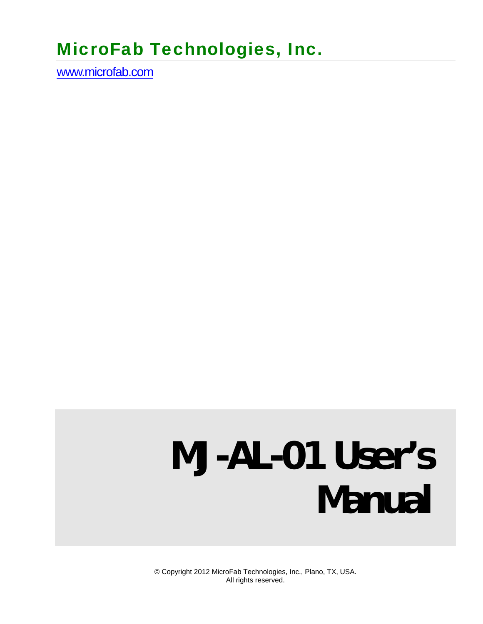# MicroFab Technologies, Inc.

www.microfab.com

# **MJ-AL-01 User's Manual**

© Copyright 2012 MicroFab Technologies, Inc., Plano, TX, USA. All rights reserved.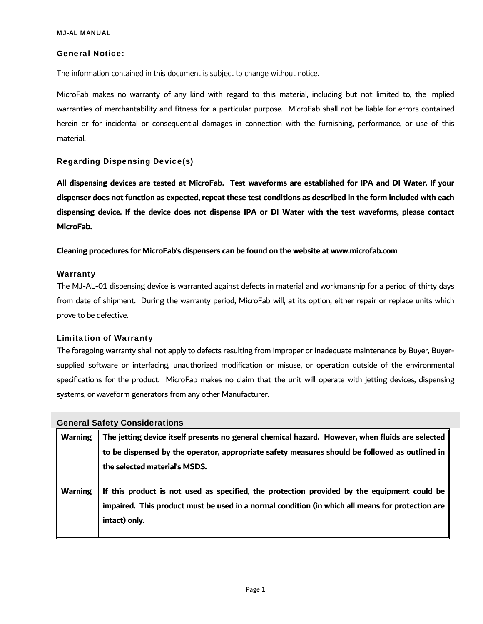#### General Notice:

The information contained in this document is subject to change without notice.

MicroFab makes no warranty of any kind with regard to this material, including but not limited to, the implied warranties of merchantability and fitness for a particular purpose. MicroFab shall not be liable for errors contained herein or for incidental or consequential damages in connection with the furnishing, performance, or use of this material.

#### Regarding Dispensing Device(s)

**All dispensing devices are tested at MicroFab. Test waveforms are established for IPA and DI Water. If your dispenser does not function as expected, repeat these test conditions as described in the form included with each dispensing device. If the device does not dispense IPA or DI Water with the test waveforms, please contact MicroFab.** 

#### **Cleaning procedures for MicroFab's dispensers can be found on the website at www.microfab.com**

#### **Warranty**

The MJ-AL-01 dispensing device is warranted against defects in material and workmanship for a period of thirty days from date of shipment. During the warranty period, MicroFab will, at its option, either repair or replace units which prove to be defective.

#### Limitation of Warranty

The foregoing warranty shall not apply to defects resulting from improper or inadequate maintenance by Buyer, Buyersupplied software or interfacing, unauthorized modification or misuse, or operation outside of the environmental specifications for the product. MicroFab makes no claim that the unit will operate with jetting devices, dispensing systems, or waveform generators from any other Manufacturer.

| <b>General Safety Considerations</b> |                                                                                                                                                                                                                                     |  |  |
|--------------------------------------|-------------------------------------------------------------------------------------------------------------------------------------------------------------------------------------------------------------------------------------|--|--|
| <b>Warning</b>                       | The jetting device itself presents no general chemical hazard. However, when fluids are selected<br>to be dispensed by the operator, appropriate safety measures should be followed as outlined in<br>the selected material's MSDS. |  |  |
| <b>Warning</b>                       | If this product is not used as specified, the protection provided by the equipment could be<br>impaired. This product must be used in a normal condition (in which all means for protection are<br>intact) only.                    |  |  |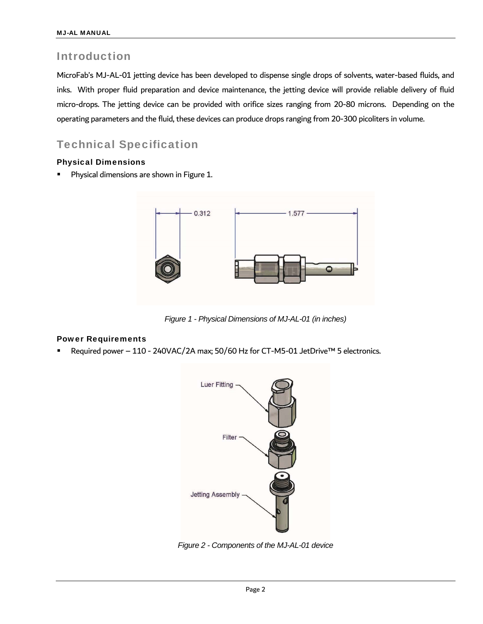### Introduction

MicroFab's MJ-AL-01 jetting device has been developed to dispense single drops of solvents, water-based fluids, and inks. With proper fluid preparation and device maintenance, the jetting device will provide reliable delivery of fluid micro-drops. The jetting device can be provided with orifice sizes ranging from 20-80 microns. Depending on the operating parameters and the fluid, these devices can produce drops ranging from 20-300 picoliters in volume.

## Technical Specification

#### Physical Dimensions

Physical dimensions are shown in Figure 1.



*Figure 1 - Physical Dimensions of MJ-AL-01 (in inches)* 

#### Power Requirements

Required power – 110 - 240VAC/2A max; 50/60 Hz for CT-M5-01 JetDrive™ 5 electronics.



*Figure 2 - Components of the MJ-AL-01 device*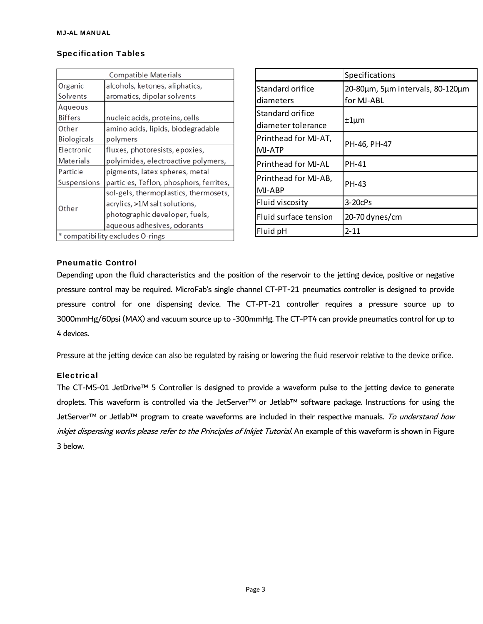#### Specification Tables

| <b>Compatible Materials</b>      |                                         |  |  |  |
|----------------------------------|-----------------------------------------|--|--|--|
| Organic                          | alcohols, ketones, aliphatics,          |  |  |  |
| Solvents                         | aromatics, dipolar solvents             |  |  |  |
| Aqueous                          |                                         |  |  |  |
| Biffers                          | nucleic acids, proteins, cells          |  |  |  |
| Other                            | amino acids, lipids, biodegradable      |  |  |  |
| <b>Biologicals</b>               | polymers                                |  |  |  |
| Electronic                       | fluxes, photoresists, epoxies,          |  |  |  |
| <b>Materials</b>                 | polyimides, electroactive polymers,     |  |  |  |
| Particle                         | pigments, latex spheres, metal          |  |  |  |
| Suspensions                      | particles, Teflon, phosphors, ferrites, |  |  |  |
|                                  | sol-gels, thermoplastics, thermosets,   |  |  |  |
| Other                            | acrylics, >1M salt solutions,           |  |  |  |
|                                  | photographic developer, fuels,          |  |  |  |
|                                  | aqueous adhesives, odorants             |  |  |  |
| * compatibility excludes O-rings |                                         |  |  |  |

|                            | Specifications                   |  |
|----------------------------|----------------------------------|--|
| Standard orifice           | 20-80µm, 5µm intervals, 80-120µm |  |
| diameters                  | for MJ-ABL                       |  |
| Standard orifice           | ±1µm                             |  |
| diameter tolerance         |                                  |  |
| Printhead for MJ-AT,       |                                  |  |
| MJ-ATP                     | PH-46, PH-47                     |  |
| <b>Printhead for MJ-AL</b> | PH-41                            |  |
| Printhead for MJ-AB,       |                                  |  |
| MJ-ABP                     | PH-43                            |  |
| Fluid viscosity            | $3-20c$ Ps                       |  |
| Fluid surface tension      | 20-70 dynes/cm                   |  |
| Fluid pH                   | 2-11                             |  |

#### Pneumatic Control

Depending upon the fluid characteristics and the position of the reservoir to the jetting device, positive or negative pressure control may be required. MicroFab's single channel CT-PT-21 pneumatics controller is designed to provide pressure control for one dispensing device. The CT-PT-21 controller requires a pressure source up to 3000mmHg/60psi (MAX) and vacuum source up to -300mmHg. The CT-PT4 can provide pneumatics control for up to 4 devices.

Pressure at the jetting device can also be regulated by raising or lowering the fluid reservoir relative to the device orifice.

#### **Electrical**

The CT-M5-01 JetDrive™ 5 Controller is designed to provide a waveform pulse to the jetting device to generate droplets. This waveform is controlled via the JetServer™ or Jetlab™ software package. Instructions for using the JetServer™ or Jetlab™ program to create waveforms are included in their respective manuals. To understand how inkjet dispensing works please refer to the Principles of Inkjet Tutorial. An example of this waveform is shown in Figure 3 below.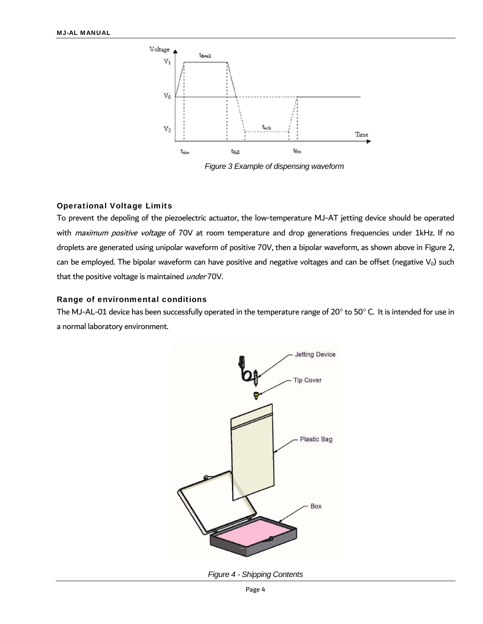

*Figure 3 Example of dispensing waveform* 

#### Operational Voltage Limits

To prevent the depoling of the piezoelectric actuator, the low-temperature MJ-AT jetting device should be operated with *maximum positive voltage* of 70V at room temperature and drop generations frequencies under 1kHz. If no droplets are generated using unipolar waveform of positive 70V, then a bipolar waveform, as shown above in Figure 2, can be employed. The bipolar waveform can have positive and negative voltages and can be offset (negative  $V_0$ ) such that the positive voltage is maintained *under* 70V.

#### Range of environmental conditions

The MJ-AL-01 device has been successfully operated in the temperature range of 20 $^{\circ}$  to 50 $^{\circ}$  C. It is intended for use in a normal laboratory environment.



*Figure 4 - Shipping Contents*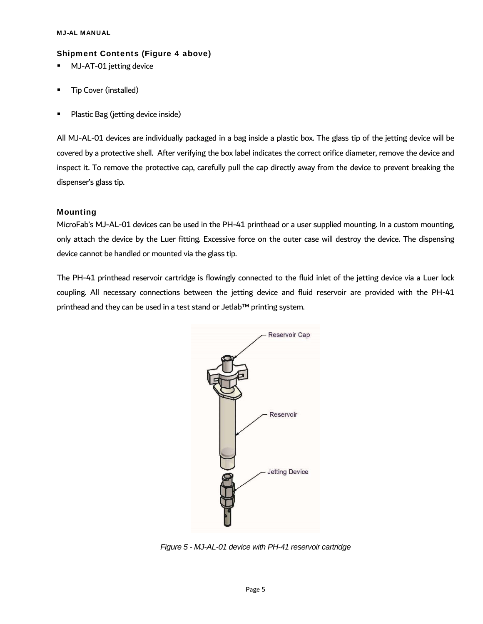#### Shipment Contents (Figure 4 above)

- MJ-AT-01 jetting device
- Tip Cover (installed)
- Plastic Bag (jetting device inside)

All MJ-AL-01 devices are individually packaged in a bag inside a plastic box. The glass tip of the jetting device will be covered by a protective shell. After verifying the box label indicates the correct orifice diameter, remove the device and inspect it. To remove the protective cap, carefully pull the cap directly away from the device to prevent breaking the dispenser's glass tip.

#### Mounting

MicroFab's MJ-AL-01 devices can be used in the PH-41 printhead or a user supplied mounting. In a custom mounting, only attach the device by the Luer fitting. Excessive force on the outer case will destroy the device. The dispensing device cannot be handled or mounted via the glass tip.

The PH-41 printhead reservoir cartridge is flowingly connected to the fluid inlet of the jetting device via a Luer lock coupling. All necessary connections between the jetting device and fluid reservoir are provided with the PH-41 printhead and they can be used in a test stand or Jetlab™ printing system.



*Figure 5 - MJ-AL-01 device with PH-41 reservoir cartridge*